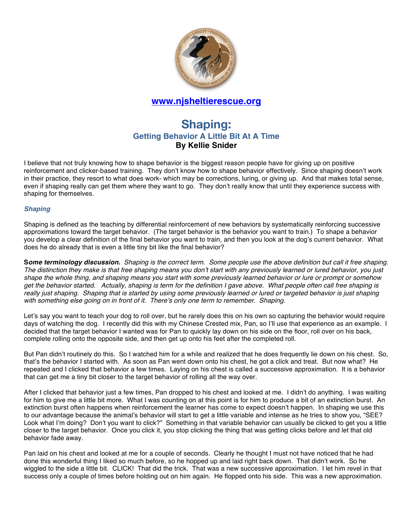

## **www.njsheltierescue.org**

# **Shaping: Getting Behavior A Little Bit At A Time By Kellie Snider**

I believe that not truly knowing how to shape behavior is the biggest reason people have for giving up on positive reinforcement and clicker-based training. They don't know how to shape behavior effectively. Since shaping doesn't work in their practice, they resort to what does work- which may be corrections, luring, or giving up. And that makes total sense, even if shaping really can get them where they want to go. They don't really know that until they experience success with shaping for themselves.

#### *Shaping*

Shaping is defined as the teaching by differential reinforcement of new behaviors by systematically reinforcing successive approximations toward the target behavior. (The target behavior is the behavior you want to train.) To shape a behavior you develop a clear definition of the final behavior you want to train, and then you look at the dog's current behavior. What does he do already that is even a little tiny bit like the final behavior?

**S***ome terminology discussion. Shaping is the correct term. Some people use the above definition but call it free shaping. The distinction they make is that free shaping means you don't start with any previously learned or lured behavior, you just shape the whole thing, and shaping means you start with some previously learned behavior or lure or prompt or somehow get the behavior started. Actually, shaping is term for the definition I gave above. What people often call free shaping is really just shaping. Shaping that is started by using some previously learned or lured or targeted behavior is just shaping with something else going on in front of it. There's only one term to remember. Shaping.* 

Let's say you want to teach your dog to roll over, but he rarely does this on his own so capturing the behavior would require days of watching the dog. I recently did this with my Chinese Crested mix, Pan, so I'll use that experience as an example. I decided that the target behavior I wanted was for Pan to quickly lay down on his side on the floor, roll over on his back, complete rolling onto the opposite side, and then get up onto his feet after the completed roll.

But Pan didn't routinely do this. So I watched him for a while and realized that he does frequently lie down on his chest. So, that's the behavior I started with. As soon as Pan went down onto his chest, he got a click and treat. But now what? He repeated and I clicked that behavior a few times. Laying on his chest is called a successive approximation. It is a behavior that can get me a tiny bit closer to the target behavior of rolling all the way over.

After I clicked that behavior just a few times, Pan dropped to his chest and looked at me. I didn't do anything. I was waiting for him to give me a little bit more. What I was counting on at this point is for him to produce a bit of an extinction burst. An extinction burst often happens when reinforcement the learner has come to expect doesn't happen. In shaping we use this to our advantage because the animal's behavior will start to get a little variable and intense as he tries to show you, "SEE? Look what I'm doing? Don't you want to click?" Something in that variable behavior can usually be clicked to get you a little closer to the target behavior. Once you click it, you stop clicking the thing that was getting clicks before and let that old behavior fade away.

Pan laid on his chest and looked at me for a couple of seconds. Clearly he thought I must not have noticed that he had done this wonderful thing I liked so much before, so he hopped up and laid right back down. That didn't work. So he wiggled to the side a little bit. CLICK! That did the trick. That was a new successive approximation. I let him revel in that success only a couple of times before holding out on him again. He flopped onto his side. This was a new approximation.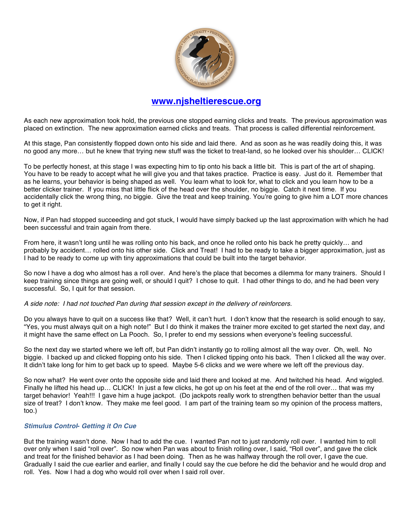

### **www.njsheltierescue.org**

As each new approximation took hold, the previous one stopped earning clicks and treats. The previous approximation was placed on extinction. The new approximation earned clicks and treats. That process is called differential reinforcement.

At this stage, Pan consistently flopped down onto his side and laid there. And as soon as he was readily doing this, it was no good any more… but he knew that trying new stuff was the ticket to treat-land, so he looked over his shoulder… CLICK!

To be perfectly honest, at this stage I was expecting him to tip onto his back a little bit. This is part of the art of shaping. You have to be ready to accept what he will give you and that takes practice. Practice is easy. Just do it. Remember that as he learns, your behavior is being shaped as well. You learn what to look for, what to click and you learn how to be a better clicker trainer. If you miss that little flick of the head over the shoulder, no biggie. Catch it next time. If you accidentally click the wrong thing, no biggie. Give the treat and keep training. You're going to give him a LOT more chances to get it right.

Now, if Pan had stopped succeeding and got stuck, I would have simply backed up the last approximation with which he had been successful and train again from there.

From here, it wasn't long until he was rolling onto his back, and once he rolled onto his back he pretty quickly… and probably by accident… rolled onto his other side. Click and Treat! I had to be ready to take a bigger approximation, just as I had to be ready to come up with tiny approximations that could be built into the target behavior.

So now I have a dog who almost has a roll over. And here's the place that becomes a dilemma for many trainers. Should I keep training since things are going well, or should I quit? I chose to quit. I had other things to do, and he had been very successful. So, I quit for that session.

#### *A side note: I had not touched Pan during that session except in the delivery of reinforcers.*

Do you always have to quit on a success like that? Well, it can't hurt. I don't know that the research is solid enough to say, "Yes, you must always quit on a high note!" But I do think it makes the trainer more excited to get started the next day, and it might have the same effect on La Pooch. So, I prefer to end my sessions when everyone's feeling successful.

So the next day we started where we left off, but Pan didn't instantly go to rolling almost all the way over. Oh, well. No biggie. I backed up and clicked flopping onto his side. Then I clicked tipping onto his back. Then I clicked all the way over. It didn't take long for him to get back up to speed. Maybe 5-6 clicks and we were where we left off the previous day.

So now what? He went over onto the opposite side and laid there and looked at me. And twitched his head. And wiggled. Finally he lifted his head up… CLICK! In just a few clicks, he got up on his feet at the end of the roll over… that was my target behavior! Yeah!!! I gave him a huge jackpot. (Do jackpots really work to strengthen behavior better than the usual size of treat? I don't know. They make me feel good. I am part of the training team so my opinion of the process matters, too.)

#### *Stimulus Control***-** *Getting it On Cue*

But the training wasn't done. Now I had to add the cue. I wanted Pan not to just randomly roll over. I wanted him to roll over only when I said "roll over". So now when Pan was about to finish rolling over, I said, "Roll over", and gave the click and treat for the finished behavior as I had been doing. Then as he was halfway through the roll over, I gave the cue. Gradually I said the cue earlier and earlier, and finally I could say the cue before he did the behavior and he would drop and roll. Yes. Now I had a dog who would roll over when I said roll over.